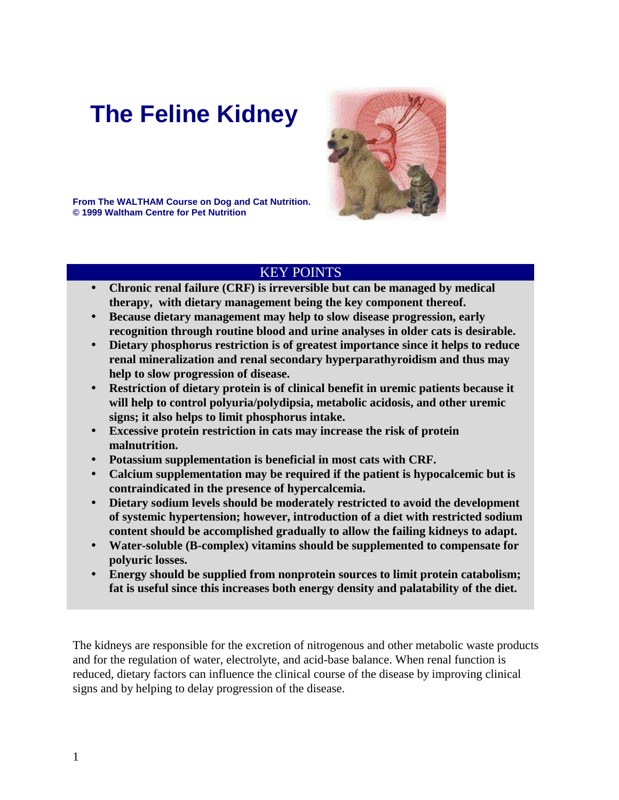# **The Feline Kidney**



**From The WALTHAM Course on Dog and Cat Nutrition. © 1999 Waltham Centre for Pet Nutrition**

# KEY POINTS

- ! **Chronic renal failure (CRF) is irreversible but can be managed by medical therapy, with dietary management being the key component thereof.**
- ! **Because dietary management may help to slow disease progression, early recognition through routine blood and urine analyses in older cats is desirable.**
- ! **Dietary phosphorus restriction is of greatest importance since it helps to reduce renal mineralization and renal secondary hyperparathyroidism and thus may help to slow progression of disease.**
- ! **Restriction of dietary protein is of clinical benefit in uremic patients because it will help to control polyuria/polydipsia, metabolic acidosis, and other uremic signs; it also helps to limit phosphorus intake.**
- ! **Excessive protein restriction in cats may increase the risk of protein malnutrition.**
- ! **Potassium supplementation is beneficial in most cats with CRF.**
- ! **Calcium supplementation may be required if the patient is hypocalcemic but is contraindicated in the presence of hypercalcemia.**
- ! **Dietary sodium levels should be moderately restricted to avoid the development of systemic hypertension; however, introduction of a diet with restricted sodium content should be accomplished gradually to allow the failing kidneys to adapt.**
- ! **Water-soluble (B-complex) vitamins should be supplemented to compensate for polyuric losses.**
- ! **Energy should be supplied from nonprotein sources to limit protein catabolism; fat is useful since this increases both energy density and palatability of the diet.**

The kidneys are responsible for the excretion of nitrogenous and other metabolic waste products and for the regulation of water, electrolyte, and acid-base balance. When renal function is reduced, dietary factors can influence the clinical course of the disease by improving clinical signs and by helping to delay progression of the disease.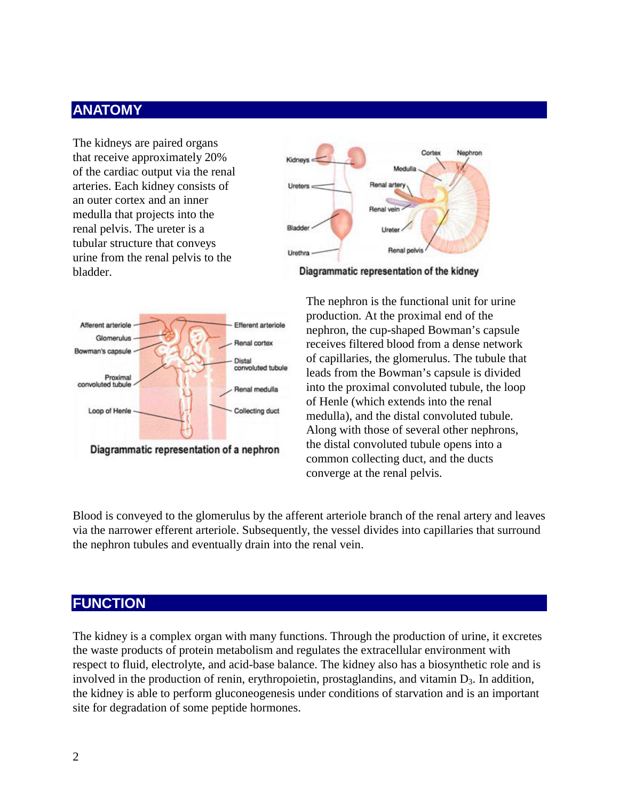# **ANATOMY**

The kidneys are paired organs that receive approximately 20% of the cardiac output via the renal arteries. Each kidney consists of an outer cortex and an inner medulla that projects into the renal pelvis. The ureter is a tubular structure that conveys urine from the renal pelvis to the bladder.



Diagrammatic representation of the kidney



The nephron is the functional unit for urine production*.* At the proximal end of the nephron, the cup-shaped Bowman's capsule receives filtered blood from a dense network of capillaries, the glomerulus. The tubule that leads from the Bowman's capsule is divided into the proximal convoluted tubule, the loop of Henle (which extends into the renal medulla), and the distal convoluted tubule. Along with those of several other nephrons, the distal convoluted tubule opens into a common collecting duct, and the ducts converge at the renal pelvis.

Blood is conveyed to the glomerulus by the afferent arteriole branch of the renal artery and leaves via the narrower efferent arteriole. Subsequently, the vessel divides into capillaries that surround the nephron tubules and eventually drain into the renal vein.

### **FUNCTION**

The kidney is a complex organ with many functions. Through the production of urine, it excretes the waste products of protein metabolism and regulates the extracellular environment with respect to fluid, electrolyte, and acid-base balance. The kidney also has a biosynthetic role and is involved in the production of renin, erythropoietin, prostaglandins, and vitamin  $D_3$ . In addition, the kidney is able to perform gluconeogenesis under conditions of starvation and is an important site for degradation of some peptide hormones.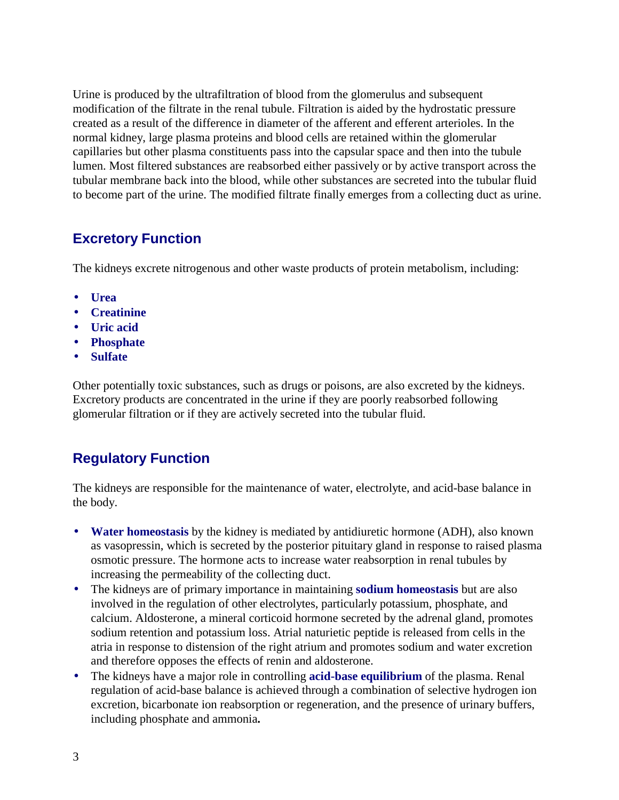Urine is produced by the ultrafiltration of blood from the glomerulus and subsequent modification of the filtrate in the renal tubule. Filtration is aided by the hydrostatic pressure created as a result of the difference in diameter of the afferent and efferent arterioles. In the normal kidney, large plasma proteins and blood cells are retained within the glomerular capillaries but other plasma constituents pass into the capsular space and then into the tubule lumen. Most filtered substances are reabsorbed either passively or by active transport across the tubular membrane back into the blood, while other substances are secreted into the tubular fluid to become part of the urine. The modified filtrate finally emerges from a collecting duct as urine.

# **Excretory Function**

The kidneys excrete nitrogenous and other waste products of protein metabolism, including:

- **Urea**
- **Creatinine**
- **Uric acid**
- **Phosphate**
- **Sulfate**

Other potentially toxic substances, such as drugs or poisons, are also excreted by the kidneys. Excretory products are concentrated in the urine if they are poorly reabsorbed following glomerular filtration or if they are actively secreted into the tubular fluid.

# **Regulatory Function**

The kidneys are responsible for the maintenance of water, electrolyte, and acid-base balance in the body.

- **Water homeostasis** by the kidney is mediated by antidiuretic hormone (ADH), also known as vasopressin, which is secreted by the posterior pituitary gland in response to raised plasma osmotic pressure. The hormone acts to increase water reabsorption in renal tubules by increasing the permeability of the collecting duct.
- The kidneys are of primary importance in maintaining **sodium homeostasis** but are also involved in the regulation of other electrolytes, particularly potassium, phosphate, and calcium. Aldosterone, a mineral corticoid hormone secreted by the adrenal gland, promotes sodium retention and potassium loss. Atrial naturietic peptide is released from cells in the atria in response to distension of the right atrium and promotes sodium and water excretion and therefore opposes the effects of renin and aldosterone.
- The kidneys have a major role in controlling **acid-base equilibrium** of the plasma. Renal regulation of acid-base balance is achieved through a combination of selective hydrogen ion excretion, bicarbonate ion reabsorption or regeneration, and the presence of urinary buffers, including phosphate and ammonia**.**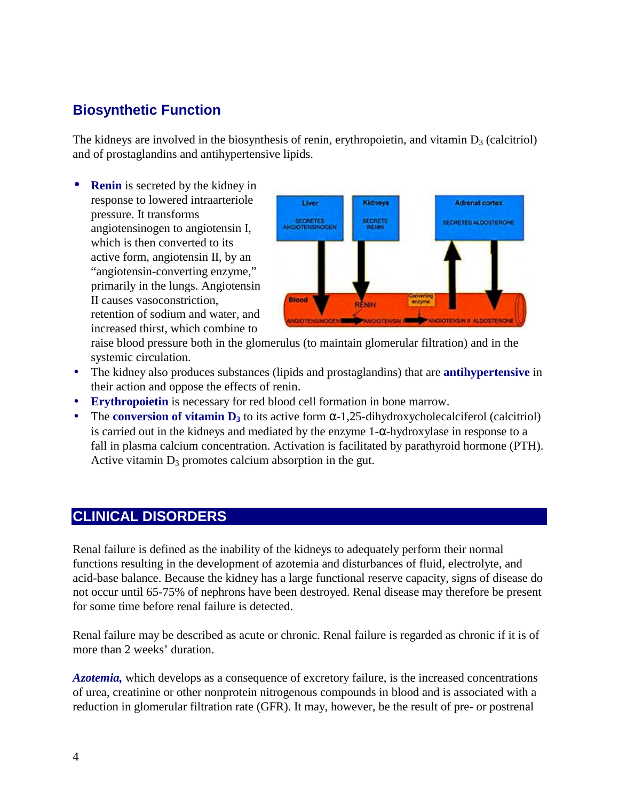# **Biosynthetic Function**

The kidneys are involved in the biosynthesis of renin, erythropoietin, and vitamin  $D_3$  (calcitriol) and of prostaglandins and antihypertensive lipids.

• **Renin** is secreted by the kidney in response to lowered intraarteriole pressure. It transforms angiotensinogen to angiotensin I, which is then converted to its active form, angiotensin II, by an "angiotensin-converting enzyme," primarily in the lungs. Angiotensin II causes vasoconstriction, retention of sodium and water, and increased thirst, which combine to



raise blood pressure both in the glomerulus (to maintain glomerular filtration) and in the systemic circulation.

- The kidney also produces substances (lipids and prostaglandins) that are **antihypertensive** in their action and oppose the effects of renin.
- **Erythropoietin** is necessary for red blood cell formation in bone marrow.
- The **conversion of vitamin D**<sub>3</sub> to its active form  $\alpha$ -1,25-dihydroxycholecalciferol (calcitriol) is carried out in the kidneys and mediated by the enzyme 1-α-hydroxylase in response to a fall in plasma calcium concentration. Activation is facilitated by parathyroid hormone (PTH). Active vitamin  $D_3$  promotes calcium absorption in the gut.

# **CLINICAL DISORDERS**

Renal failure is defined as the inability of the kidneys to adequately perform their normal functions resulting in the development of azotemia and disturbances of fluid, electrolyte, and acid-base balance. Because the kidney has a large functional reserve capacity, signs of disease do not occur until 65-75% of nephrons have been destroyed. Renal disease may therefore be present for some time before renal failure is detected.

Renal failure may be described as acute or chronic. Renal failure is regarded as chronic if it is of more than 2 weeks' duration.

*Azotemia,* which develops as a consequence of excretory failure, is the increased concentrations of urea, creatinine or other nonprotein nitrogenous compounds in blood and is associated with a reduction in glomerular filtration rate (GFR). It may, however, be the result of pre- or postrenal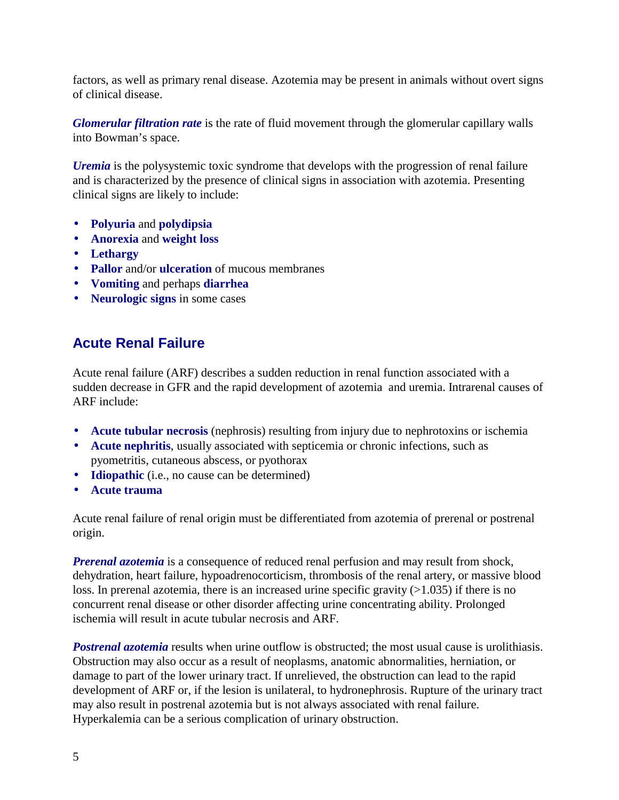factors, as well as primary renal disease. Azotemia may be present in animals without overt signs of clinical disease.

*Glomerular filtration rate* is the rate of fluid movement through the glomerular capillary walls into Bowman's space.

*Uremia* is the polysystemic toxic syndrome that develops with the progression of renal failure and is characterized by the presence of clinical signs in association with azotemia. Presenting clinical signs are likely to include:

- **Polyuria** and **polydipsia**
- **Anorexia** and **weight loss**
- **Lethargy**
- **Pallor** and/or **ulceration** of mucous membranes
- **Vomiting** and perhaps **diarrhea**
- **Neurologic signs** in some cases

# **Acute Renal Failure**

Acute renal failure (ARF) describes a sudden reduction in renal function associated with a sudden decrease in GFR and the rapid development of azotemia and uremia. Intrarenal causes of ARF include:

- **Acute tubular necrosis** (nephrosis) resulting from injury due to nephrotoxins or ischemia
- **Acute nephritis**, usually associated with septicemia or chronic infections, such as pyometritis, cutaneous abscess, or pyothorax
- **Idiopathic** (i.e., no cause can be determined)
- **Acute trauma**

Acute renal failure of renal origin must be differentiated from azotemia of prerenal or postrenal origin.

*Prerenal azotemia* is a consequence of reduced renal perfusion and may result from shock, dehydration, heart failure, hypoadrenocorticism, thrombosis of the renal artery, or massive blood loss. In prerenal azotemia, there is an increased urine specific gravity (>1.035) if there is no concurrent renal disease or other disorder affecting urine concentrating ability. Prolonged ischemia will result in acute tubular necrosis and ARF.

**Postrenal azotemia** results when urine outflow is obstructed; the most usual cause is urolithiasis. Obstruction may also occur as a result of neoplasms, anatomic abnormalities, herniation, or damage to part of the lower urinary tract. If unrelieved, the obstruction can lead to the rapid development of ARF or, if the lesion is unilateral, to hydronephrosis. Rupture of the urinary tract may also result in postrenal azotemia but is not always associated with renal failure. Hyperkalemia can be a serious complication of urinary obstruction.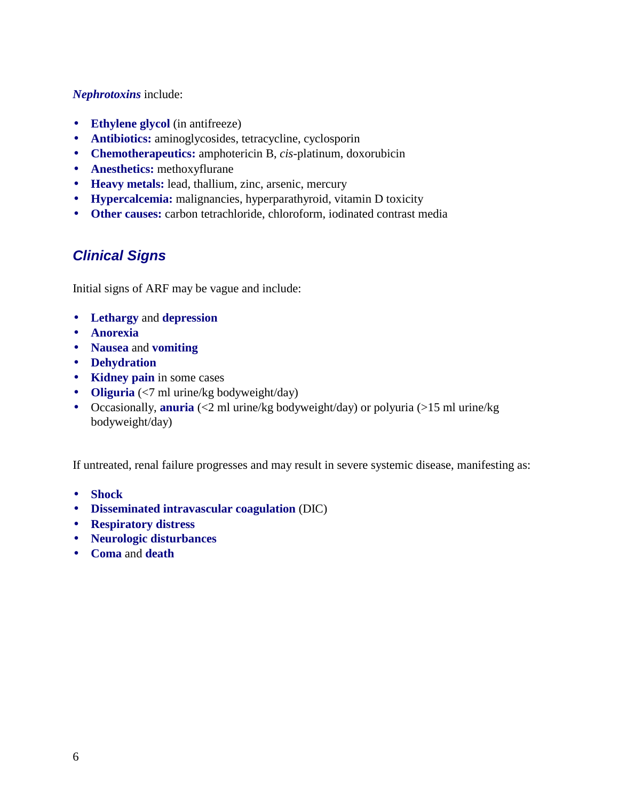#### *Nephrotoxins* include:

- **Ethylene glycol** (in antifreeze)
- **Antibiotics:** aminoglycosides, tetracycline, cyclosporin
- **Chemotherapeutics:** amphotericin B, *cis*-platinum, doxorubicin
- **Anesthetics:** methoxyflurane
- **Heavy metals:** lead, thallium, zinc, arsenic, mercury
- **Hypercalcemia:** malignancies, hyperparathyroid, vitamin D toxicity
- **Other causes:** carbon tetrachloride, chloroform, iodinated contrast media

# *Clinical Signs*

Initial signs of ARF may be vague and include:

- **Lethargy** and **depression**
- **Anorexia**
- **Nausea** and **vomiting**
- **Dehydration**
- **Kidney pain** in some cases
- **Oliguria** (<7 ml urine/kg bodyweight/day)
- Occasionally, **anuria** (<2 ml urine/kg bodyweight/day) or polyuria (>15 ml urine/kg bodyweight/day)

If untreated, renal failure progresses and may result in severe systemic disease, manifesting as:

- **Shock**
- **Disseminated intravascular coagulation** (DIC)
- **Respiratory distress**
- **Neurologic disturbances**
- **Coma** and **death**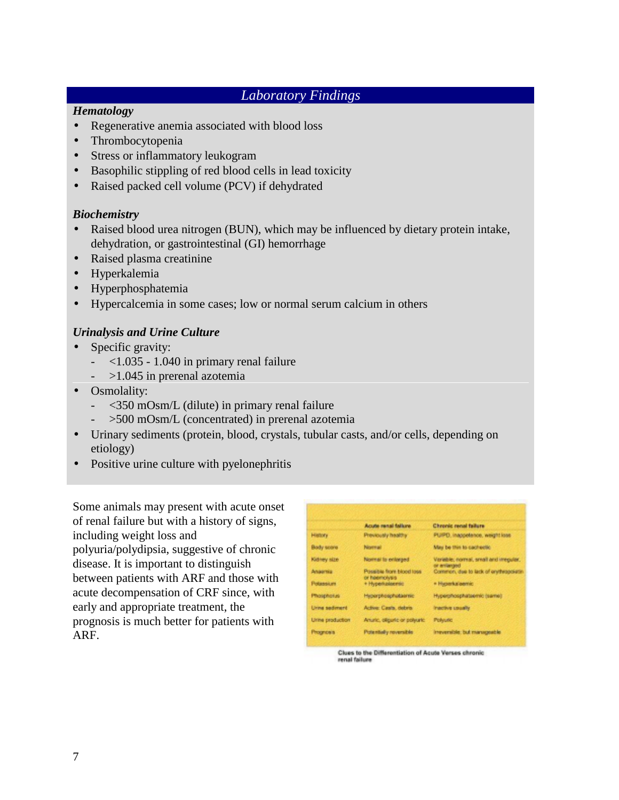# *Laboratory Findings*

#### *Hematology*

- Regenerative anemia associated with blood loss
- Thrombocytopenia
- Stress or inflammatory leukogram
- Basophilic stippling of red blood cells in lead toxicity
- Raised packed cell volume (PCV) if dehydrated

### *Biochemistry*

- Raised blood urea nitrogen (BUN), which may be influenced by dietary protein intake, dehydration, or gastrointestinal (GI) hemorrhage
- Raised plasma creatinine
- Hyperkalemia
- Hyperphosphatemia
- Hypercalcemia in some cases; low or normal serum calcium in others

### *Urinalysis and Urine Culture*

- Specific gravity:
	- $\langle 1.035 1.040$  in primary renal failure
	- $-$  >1.045 in prerenal azotemia
- Osmolality:
	- $<$  350 mOsm/L (dilute) in primary renal failure
	- >500 mOsm/L (concentrated) in prerenal azotemia
- Urinary sediments (protein, blood, crystals, tubular casts, and/or cells, depending on etiology)
- Positive urine culture with pyelonephritis

Some animals may present with acute onset of renal failure but with a history of signs, including weight loss and polyuria/polydipsia, suggestive of chronic disease. It is important to distinguish between patients with ARF and those with acute decompensation of CRF since, with early and appropriate treatment, the prognosis is much better for patients with ARF.

|                     | Acute renai fallure                       | Chronic renal failure                                  |
|---------------------|-------------------------------------------|--------------------------------------------------------|
| History             | Previously healthy                        | PUPD, inappetence, weight loss                         |
| Body soors          | Normal                                    | May be thin to cachectic                               |
| Kidney size         | Normal la enlarged                        | Variable; normal, small and irregular,<br>or enterped. |
| Алаетка:            | Possible from blood loss<br>or heemolysis | Common, due to lack of enviropoietin                   |
| <b>Polassium</b>    | + Hyperkalaemic                           | * Hyperkalaemic                                        |
| <b>Phosphorus</b>   | Heberphosphetaernic                       | Hyperphosphateemic (same)                              |
| <b>Urns sadment</b> | Active: Casts, debris                     | <b>Inactive usually</b>                                |
| Urine production    | Amunic, diligante or polyunic             | <b>Polyunc</b>                                         |
| <b>Prognosis</b>    | Patentially reversible                    | Inteversible: but manageable                           |

Clues to the Differentiation of Acute Verses chronic renal failure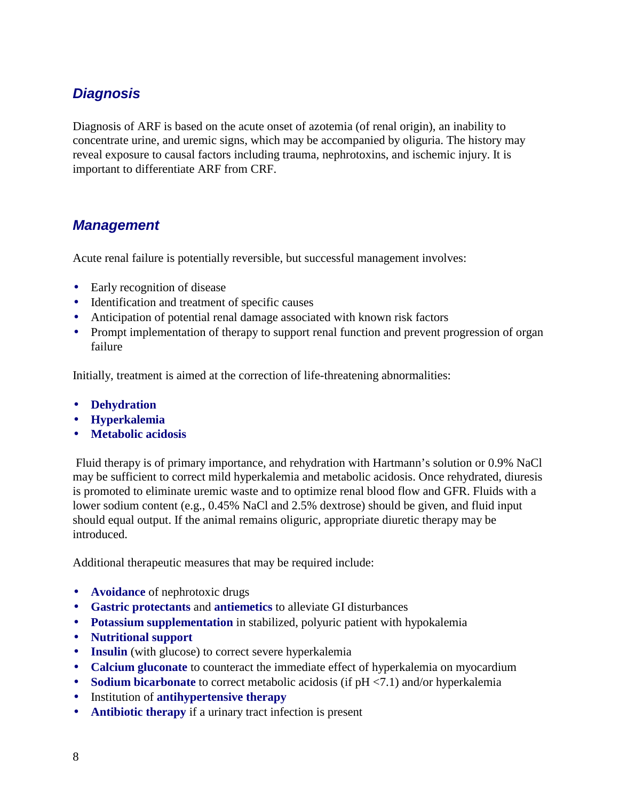# *Diagnosis*

Diagnosis of ARF is based on the acute onset of azotemia (of renal origin), an inability to concentrate urine, and uremic signs, which may be accompanied by oliguria. The history may reveal exposure to causal factors including trauma, nephrotoxins, and ischemic injury. It is important to differentiate ARF from CRF.

# *Management*

Acute renal failure is potentially reversible, but successful management involves:

- Early recognition of disease
- Identification and treatment of specific causes
- Anticipation of potential renal damage associated with known risk factors
- Prompt implementation of therapy to support renal function and prevent progression of organ failure

Initially, treatment is aimed at the correction of life-threatening abnormalities:

- **Dehydration**
- **Hyperkalemia**
- **Metabolic acidosis**

 Fluid therapy is of primary importance, and rehydration with Hartmann's solution or 0.9% NaCl may be sufficient to correct mild hyperkalemia and metabolic acidosis. Once rehydrated, diuresis is promoted to eliminate uremic waste and to optimize renal blood flow and GFR. Fluids with a lower sodium content (e.g., 0.45% NaCl and 2.5% dextrose) should be given, and fluid input should equal output. If the animal remains oliguric, appropriate diuretic therapy may be introduced.

Additional therapeutic measures that may be required include:

- **Avoidance** of nephrotoxic drugs
- **Gastric protectants** and **antiemetics** to alleviate GI disturbances
- **Potassium supplementation** in stabilized, polyuric patient with hypokalemia
- **Nutritional support**
- **Insulin** (with glucose) to correct severe hyperkalemia
- **Calcium gluconate** to counteract the immediate effect of hyperkalemia on myocardium
- **Sodium bicarbonate** to correct metabolic acidosis (if pH <7.1) and/or hyperkalemia
- Institution of **antihypertensive therapy**
- **Antibiotic therapy** if a urinary tract infection is present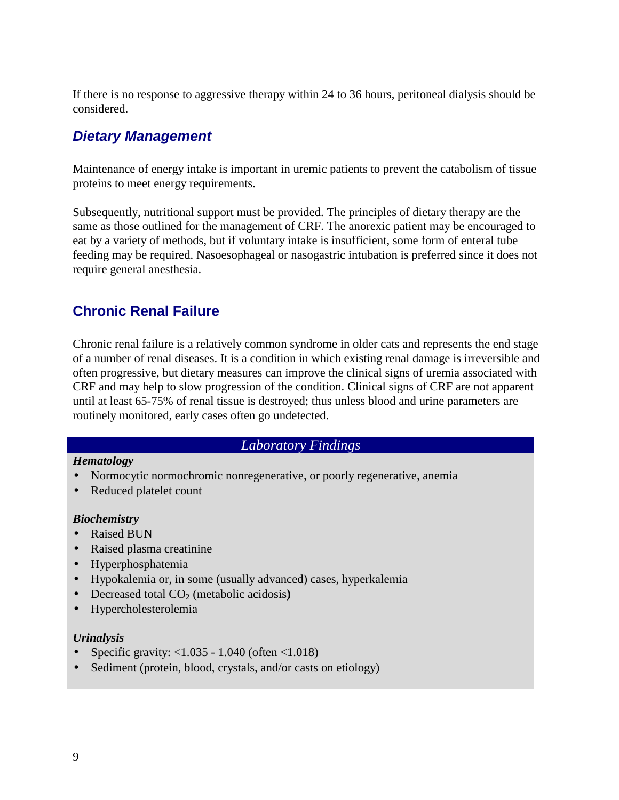If there is no response to aggressive therapy within 24 to 36 hours, peritoneal dialysis should be considered.

# *Dietary Management*

Maintenance of energy intake is important in uremic patients to prevent the catabolism of tissue proteins to meet energy requirements.

Subsequently, nutritional support must be provided. The principles of dietary therapy are the same as those outlined for the management of CRF. The anorexic patient may be encouraged to eat by a variety of methods, but if voluntary intake is insufficient, some form of enteral tube feeding may be required. Nasoesophageal or nasogastric intubation is preferred since it does not require general anesthesia.

# **Chronic Renal Failure**

Chronic renal failure is a relatively common syndrome in older cats and represents the end stage of a number of renal diseases. It is a condition in which existing renal damage is irreversible and often progressive, but dietary measures can improve the clinical signs of uremia associated with CRF and may help to slow progression of the condition. Clinical signs of CRF are not apparent until at least 65-75% of renal tissue is destroyed; thus unless blood and urine parameters are routinely monitored, early cases often go undetected.

### *Laboratory Findings*

#### *Hematology*

- Normocytic normochromic nonregenerative, or poorly regenerative, anemia
- Reduced platelet count

#### *Biochemistry*

- Raised BUN
- Raised plasma creatinine
- Hyperphosphatemia
- Hypokalemia or, in some (usually advanced) cases, hyperkalemia
- Decreased total CO<sub>2</sub> (metabolic acidosis)
- Hypercholesterolemia

#### *Urinalysis*

- Specific gravity: <1.035 1.040 (often <1.018)
- Sediment (protein, blood, crystals, and/or casts on etiology)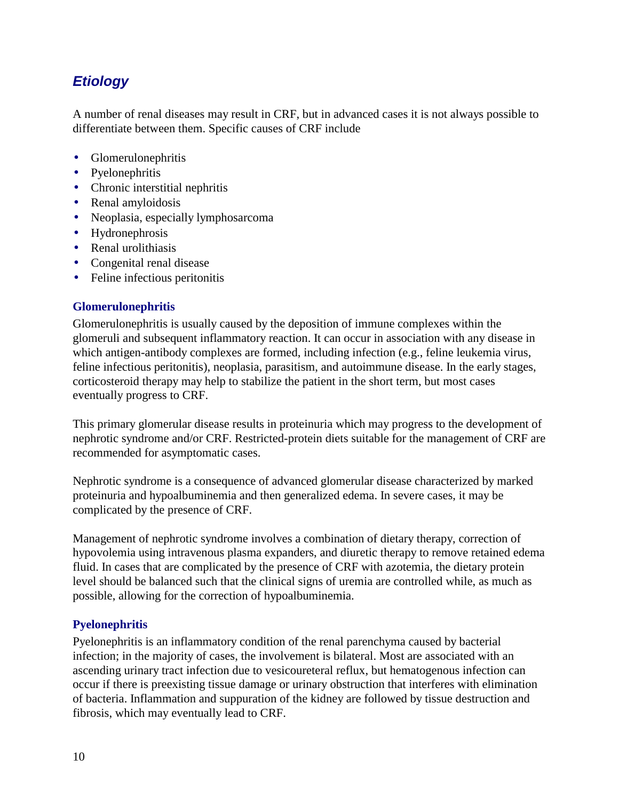# *Etiology*

A number of renal diseases may result in CRF, but in advanced cases it is not always possible to differentiate between them. Specific causes of CRF include

- Glomerulonephritis
- Pyelonephritis
- Chronic interstitial nephritis
- Renal amyloidosis
- Neoplasia, especially lymphosarcoma
- Hydronephrosis
- Renal urolithiasis
- Congenital renal disease
- Feline infectious peritonitis

### **Glomerulonephritis**

Glomerulonephritis is usually caused by the deposition of immune complexes within the glomeruli and subsequent inflammatory reaction. It can occur in association with any disease in which antigen-antibody complexes are formed, including infection (e.g., feline leukemia virus, feline infectious peritonitis), neoplasia, parasitism, and autoimmune disease. In the early stages, corticosteroid therapy may help to stabilize the patient in the short term, but most cases eventually progress to CRF.

This primary glomerular disease results in proteinuria which may progress to the development of nephrotic syndrome and/or CRF. Restricted-protein diets suitable for the management of CRF are recommended for asymptomatic cases.

Nephrotic syndrome is a consequence of advanced glomerular disease characterized by marked proteinuria and hypoalbuminemia and then generalized edema. In severe cases, it may be complicated by the presence of CRF.

Management of nephrotic syndrome involves a combination of dietary therapy, correction of hypovolemia using intravenous plasma expanders, and diuretic therapy to remove retained edema fluid. In cases that are complicated by the presence of CRF with azotemia, the dietary protein level should be balanced such that the clinical signs of uremia are controlled while, as much as possible, allowing for the correction of hypoalbuminemia.

### **Pyelonephritis**

Pyelonephritis is an inflammatory condition of the renal parenchyma caused by bacterial infection; in the majority of cases, the involvement is bilateral. Most are associated with an ascending urinary tract infection due to vesicoureteral reflux, but hematogenous infection can occur if there is preexisting tissue damage or urinary obstruction that interferes with elimination of bacteria. Inflammation and suppuration of the kidney are followed by tissue destruction and fibrosis, which may eventually lead to CRF.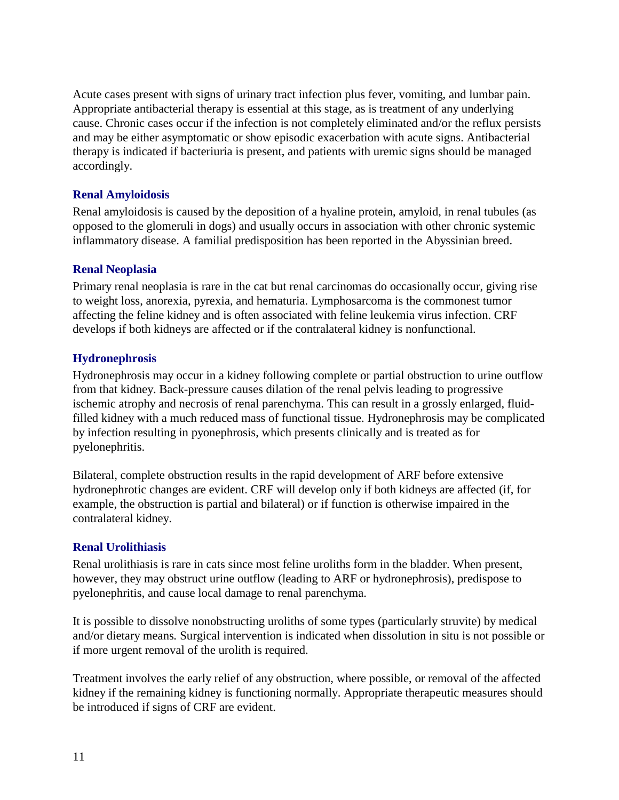Acute cases present with signs of urinary tract infection plus fever, vomiting, and lumbar pain. Appropriate antibacterial therapy is essential at this stage, as is treatment of any underlying cause. Chronic cases occur if the infection is not completely eliminated and/or the reflux persists and may be either asymptomatic or show episodic exacerbation with acute signs. Antibacterial therapy is indicated if bacteriuria is present, and patients with uremic signs should be managed accordingly.

### **Renal Amyloidosis**

Renal amyloidosis is caused by the deposition of a hyaline protein, amyloid, in renal tubules (as opposed to the glomeruli in dogs) and usually occurs in association with other chronic systemic inflammatory disease. A familial predisposition has been reported in the Abyssinian breed.

### **Renal Neoplasia**

Primary renal neoplasia is rare in the cat but renal carcinomas do occasionally occur, giving rise to weight loss, anorexia, pyrexia, and hematuria. Lymphosarcoma is the commonest tumor affecting the feline kidney and is often associated with feline leukemia virus infection. CRF develops if both kidneys are affected or if the contralateral kidney is nonfunctional.

### **Hydronephrosis**

Hydronephrosis may occur in a kidney following complete or partial obstruction to urine outflow from that kidney. Back-pressure causes dilation of the renal pelvis leading to progressive ischemic atrophy and necrosis of renal parenchyma. This can result in a grossly enlarged, fluidfilled kidney with a much reduced mass of functional tissue. Hydronephrosis may be complicated by infection resulting in pyonephrosis, which presents clinically and is treated as for pyelonephritis.

Bilateral, complete obstruction results in the rapid development of ARF before extensive hydronephrotic changes are evident. CRF will develop only if both kidneys are affected (if, for example, the obstruction is partial and bilateral) or if function is otherwise impaired in the contralateral kidney.

### **Renal Urolithiasis**

Renal urolithiasis is rare in cats since most feline uroliths form in the bladder. When present, however, they may obstruct urine outflow (leading to ARF or hydronephrosis), predispose to pyelonephritis, and cause local damage to renal parenchyma.

It is possible to dissolve nonobstructing uroliths of some types (particularly struvite) by medical and/or dietary means*.* Surgical intervention is indicated when dissolution in situ is not possible or if more urgent removal of the urolith is required.

Treatment involves the early relief of any obstruction, where possible, or removal of the affected kidney if the remaining kidney is functioning normally. Appropriate therapeutic measures should be introduced if signs of CRF are evident.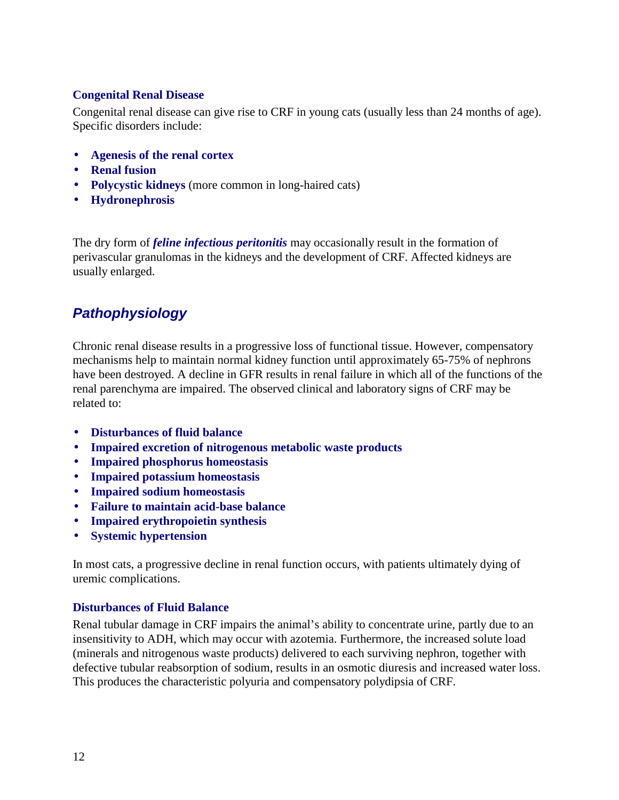### **Congenital Renal Disease**

Congenital renal disease can give rise to CRF in young cats (usually less than 24 months of age). Specific disorders include:

- **Agenesis of the renal cortex**
- **Renal fusion**
- **Polycystic kidneys** (more common in long-haired cats)
- **Hydronephrosis**

The dry form of *feline infectious peritonitis* may occasionally result in the formation of perivascular granulomas in the kidneys and the development of CRF. Affected kidneys are usually enlarged.

# *Pathophysiology*

Chronic renal disease results in a progressive loss of functional tissue. However, compensatory mechanisms help to maintain normal kidney function until approximately 65-75% of nephrons have been destroyed. A decline in GFR results in renal failure in which all of the functions of the renal parenchyma are impaired. The observed clinical and laboratory signs of CRF may be related to:

- **Disturbances of fluid balance**
- **Impaired excretion of nitrogenous metabolic waste products**
- **Impaired phosphorus homeostasis**
- **Impaired potassium homeostasis**
- **Impaired sodium homeostasis**
- **Failure to maintain acid-base balance**
- **Impaired erythropoietin synthesis**
- **Systemic hypertension**

In most cats, a progressive decline in renal function occurs, with patients ultimately dying of uremic complications.

#### **Disturbances of Fluid Balance**

Renal tubular damage in CRF impairs the animal's ability to concentrate urine, partly due to an insensitivity to ADH, which may occur with azotemia. Furthermore, the increased solute load (minerals and nitrogenous waste products) delivered to each surviving nephron, together with defective tubular reabsorption of sodium, results in an osmotic diuresis and increased water loss. This produces the characteristic polyuria and compensatory polydipsia of CRF.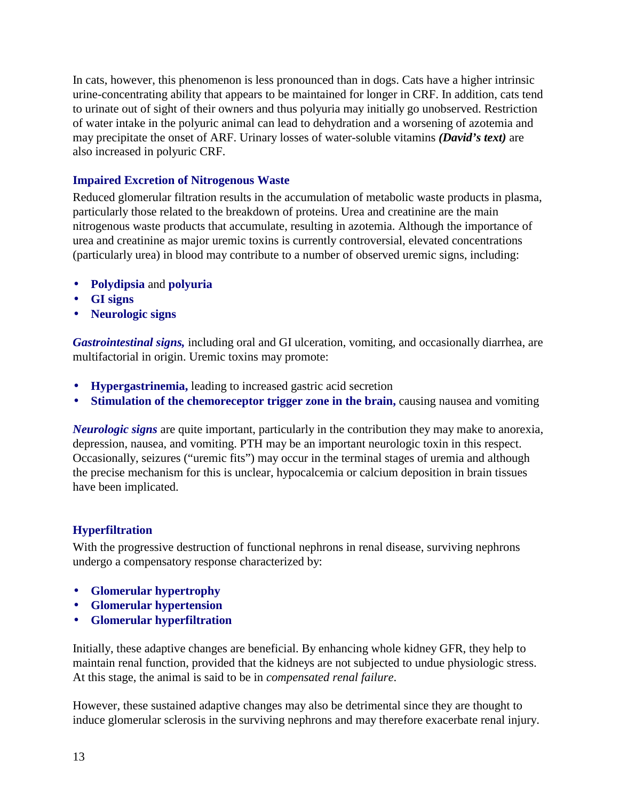In cats, however, this phenomenon is less pronounced than in dogs. Cats have a higher intrinsic urine-concentrating ability that appears to be maintained for longer in CRF. In addition, cats tend to urinate out of sight of their owners and thus polyuria may initially go unobserved. Restriction of water intake in the polyuric animal can lead to dehydration and a worsening of azotemia and may precipitate the onset of ARF. Urinary losses of water-soluble vitamins *(David's text)* are also increased in polyuric CRF.

### **Impaired Excretion of Nitrogenous Waste**

Reduced glomerular filtration results in the accumulation of metabolic waste products in plasma, particularly those related to the breakdown of proteins. Urea and creatinine are the main nitrogenous waste products that accumulate, resulting in azotemia. Although the importance of urea and creatinine as major uremic toxins is currently controversial, elevated concentrations (particularly urea) in blood may contribute to a number of observed uremic signs, including:

- **Polydipsia** and **polyuria**
- **GI signs**
- **Neurologic signs**

*Gastrointestinal signs,* including oral and GI ulceration, vomiting, and occasionally diarrhea, are multifactorial in origin. Uremic toxins may promote:

- **Hypergastrinemia,** leading to increased gastric acid secretion
- **Stimulation of the chemoreceptor trigger zone in the brain,** causing nausea and vomiting

*Neurologic signs* are quite important, particularly in the contribution they may make to anorexia, depression, nausea, and vomiting. PTH may be an important neurologic toxin in this respect. Occasionally, seizures ("uremic fits") may occur in the terminal stages of uremia and although the precise mechanism for this is unclear, hypocalcemia or calcium deposition in brain tissues have been implicated.

### **Hyperfiltration**

With the progressive destruction of functional nephrons in renal disease, surviving nephrons undergo a compensatory response characterized by:

- **Glomerular hypertrophy**
- **Glomerular hypertension**
- **Glomerular hyperfiltration**

Initially, these adaptive changes are beneficial. By enhancing whole kidney GFR, they help to maintain renal function, provided that the kidneys are not subjected to undue physiologic stress. At this stage, the animal is said to be in *compensated renal failure*.

However, these sustained adaptive changes may also be detrimental since they are thought to induce glomerular sclerosis in the surviving nephrons and may therefore exacerbate renal injury.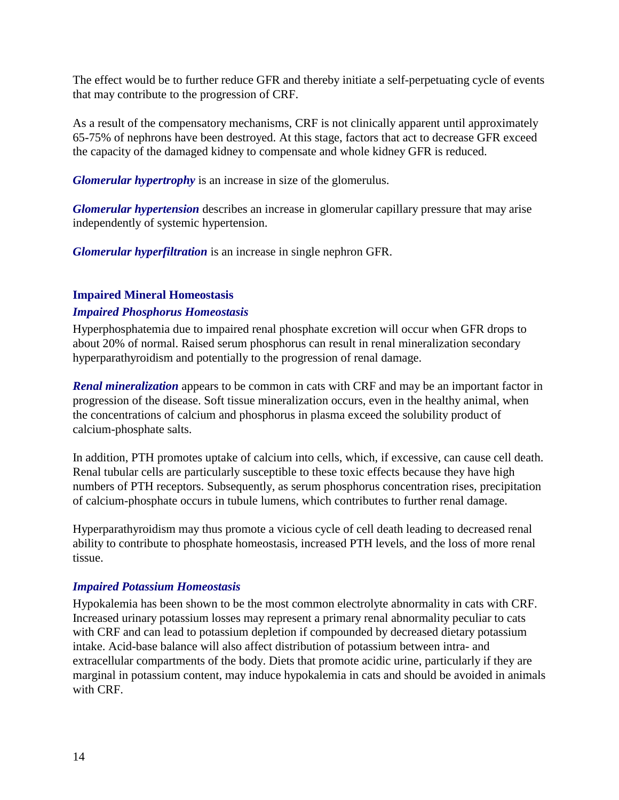The effect would be to further reduce GFR and thereby initiate a self-perpetuating cycle of events that may contribute to the progression of CRF.

As a result of the compensatory mechanisms, CRF is not clinically apparent until approximately 65-75% of nephrons have been destroyed. At this stage, factors that act to decrease GFR exceed the capacity of the damaged kidney to compensate and whole kidney GFR is reduced.

*Glomerular hypertrophy* is an increase in size of the glomerulus.

*Glomerular hypertension* describes an increase in glomerular capillary pressure that may arise independently of systemic hypertension.

*Glomerular hyperfiltration* is an increase in single nephron GFR.

### **Impaired Mineral Homeostasis**

### *Impaired Phosphorus Homeostasis*

Hyperphosphatemia due to impaired renal phosphate excretion will occur when GFR drops to about 20% of normal. Raised serum phosphorus can result in renal mineralization secondary hyperparathyroidism and potentially to the progression of renal damage.

*Renal mineralization* appears to be common in cats with CRF and may be an important factor in progression of the disease. Soft tissue mineralization occurs, even in the healthy animal, when the concentrations of calcium and phosphorus in plasma exceed the solubility product of calcium-phosphate salts.

In addition, PTH promotes uptake of calcium into cells, which, if excessive, can cause cell death. Renal tubular cells are particularly susceptible to these toxic effects because they have high numbers of PTH receptors. Subsequently, as serum phosphorus concentration rises, precipitation of calcium-phosphate occurs in tubule lumens, which contributes to further renal damage.

Hyperparathyroidism may thus promote a vicious cycle of cell death leading to decreased renal ability to contribute to phosphate homeostasis, increased PTH levels, and the loss of more renal tissue.

### *Impaired Potassium Homeostasis*

Hypokalemia has been shown to be the most common electrolyte abnormality in cats with CRF. Increased urinary potassium losses may represent a primary renal abnormality peculiar to cats with CRF and can lead to potassium depletion if compounded by decreased dietary potassium intake. Acid-base balance will also affect distribution of potassium between intra- and extracellular compartments of the body. Diets that promote acidic urine, particularly if they are marginal in potassium content, may induce hypokalemia in cats and should be avoided in animals with CRF.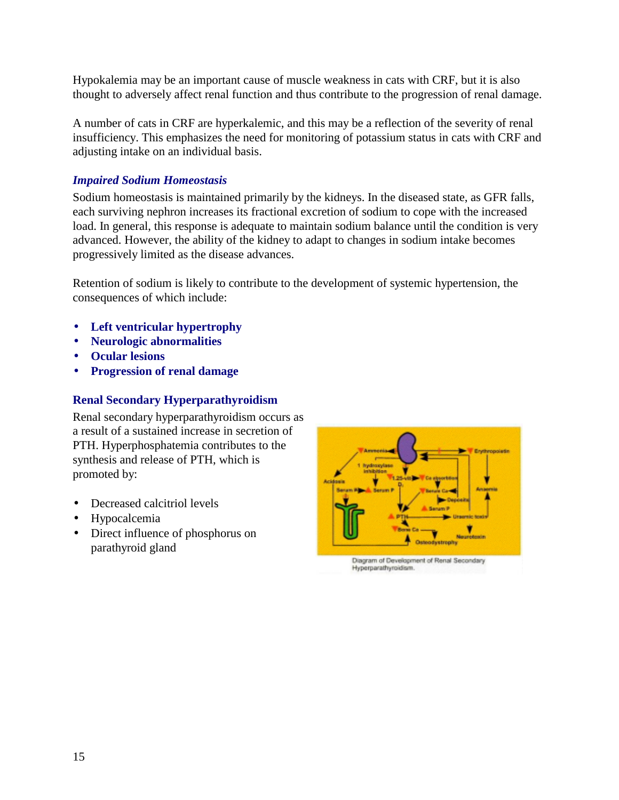Hypokalemia may be an important cause of muscle weakness in cats with CRF, but it is also thought to adversely affect renal function and thus contribute to the progression of renal damage.

A number of cats in CRF are hyperkalemic, and this may be a reflection of the severity of renal insufficiency. This emphasizes the need for monitoring of potassium status in cats with CRF and adjusting intake on an individual basis.

### *Impaired Sodium Homeostasis*

Sodium homeostasis is maintained primarily by the kidneys. In the diseased state, as GFR falls, each surviving nephron increases its fractional excretion of sodium to cope with the increased load. In general, this response is adequate to maintain sodium balance until the condition is very advanced. However, the ability of the kidney to adapt to changes in sodium intake becomes progressively limited as the disease advances.

Retention of sodium is likely to contribute to the development of systemic hypertension, the consequences of which include:

- **Left ventricular hypertrophy**
- **Neurologic abnormalities**
- **Ocular lesions**
- **Progression of renal damage**

### **Renal Secondary Hyperparathyroidism**

Renal secondary hyperparathyroidism occurs as a result of a sustained increase in secretion of PTH. Hyperphosphatemia contributes to the synthesis and release of PTH, which is promoted by:

- Decreased calcitriol levels
- Hypocalcemia
- Direct influence of phosphorus on parathyroid gland



Diagram of Development of Renal Secondary Hyperparathyroidism.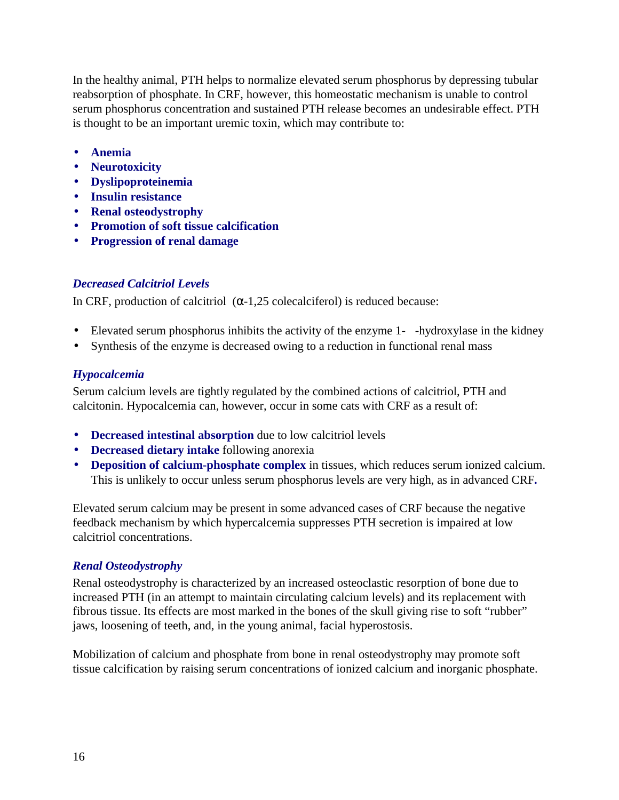In the healthy animal, PTH helps to normalize elevated serum phosphorus by depressing tubular reabsorption of phosphate. In CRF, however, this homeostatic mechanism is unable to control serum phosphorus concentration and sustained PTH release becomes an undesirable effect. PTH is thought to be an important uremic toxin, which may contribute to:

- **Anemia**
- **Neurotoxicity**
- **Dyslipoproteinemia**
- **Insulin resistance**
- **Renal osteodystrophy**
- **Promotion of soft tissue calcification**
- **Progression of renal damage**

### *Decreased Calcitriol Levels*

In CRF, production of calcitriol  $(\alpha - 1, 25)$  colecalciferol) is reduced because:

- Elevated serum phosphorus inhibits the activity of the enzyme 1--hydroxylase in the kidney
- Synthesis of the enzyme is decreased owing to a reduction in functional renal mass

### *Hypocalcemia*

Serum calcium levels are tightly regulated by the combined actions of calcitriol, PTH and calcitonin. Hypocalcemia can, however, occur in some cats with CRF as a result of:

- **Decreased intestinal absorption** due to low calcitriol levels
- **Decreased dietary intake** following anorexia
- **Deposition of calcium-phosphate complex** in tissues, which reduces serum ionized calcium. This is unlikely to occur unless serum phosphorus levels are very high, as in advanced CRF**.**

Elevated serum calcium may be present in some advanced cases of CRF because the negative feedback mechanism by which hypercalcemia suppresses PTH secretion is impaired at low calcitriol concentrations.

### *Renal Osteodystrophy*

Renal osteodystrophy is characterized by an increased osteoclastic resorption of bone due to increased PTH (in an attempt to maintain circulating calcium levels) and its replacement with fibrous tissue. Its effects are most marked in the bones of the skull giving rise to soft "rubber" jaws, loosening of teeth, and, in the young animal, facial hyperostosis.

Mobilization of calcium and phosphate from bone in renal osteodystrophy may promote soft tissue calcification by raising serum concentrations of ionized calcium and inorganic phosphate.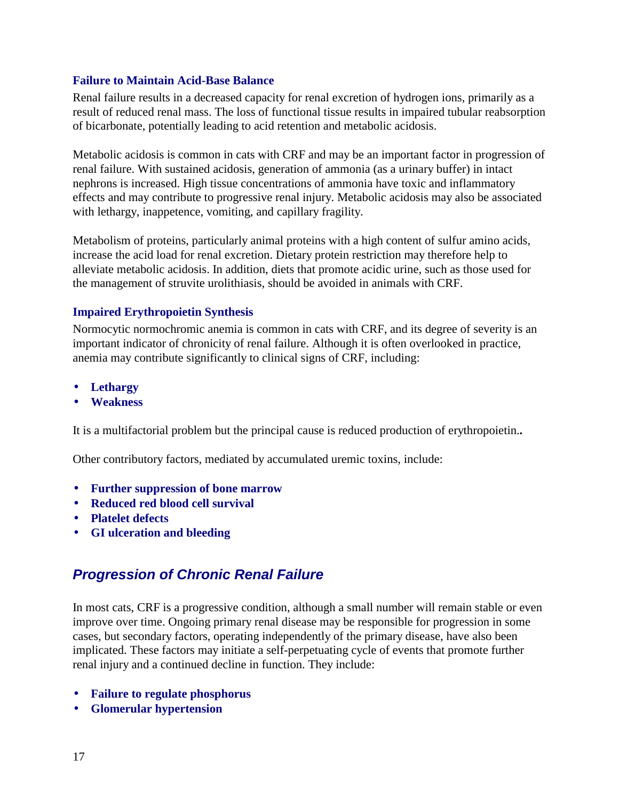#### **Failure to Maintain Acid-Base Balance**

Renal failure results in a decreased capacity for renal excretion of hydrogen ions, primarily as a result of reduced renal mass. The loss of functional tissue results in impaired tubular reabsorption of bicarbonate, potentially leading to acid retention and metabolic acidosis.

Metabolic acidosis is common in cats with CRF and may be an important factor in progression of renal failure. With sustained acidosis, generation of ammonia (as a urinary buffer) in intact nephrons is increased. High tissue concentrations of ammonia have toxic and inflammatory effects and may contribute to progressive renal injury. Metabolic acidosis may also be associated with lethargy, inappetence, vomiting, and capillary fragility.

Metabolism of proteins, particularly animal proteins with a high content of sulfur amino acids, increase the acid load for renal excretion. Dietary protein restriction may therefore help to alleviate metabolic acidosis. In addition, diets that promote acidic urine, such as those used for the management of struvite urolithiasis*,* should be avoided in animals with CRF.

### **Impaired Erythropoietin Synthesis**

Normocytic normochromic anemia is common in cats with CRF, and its degree of severity is an important indicator of chronicity of renal failure. Although it is often overlooked in practice, anemia may contribute significantly to clinical signs of CRF, including:

- **Lethargy**
- **Weakness**

It is a multifactorial problem but the principal cause is reduced production of erythropoietin.**.** 

Other contributory factors, mediated by accumulated uremic toxins, include:

- **Further suppression of bone marrow**
- **Reduced red blood cell survival**
- **Platelet defects**
- **GI ulceration and bleeding**

# *Progression of Chronic Renal Failure*

In most cats, CRF is a progressive condition, although a small number will remain stable or even improve over time. Ongoing primary renal disease may be responsible for progression in some cases, but secondary factors, operating independently of the primary disease, have also been implicated. These factors may initiate a self-perpetuating cycle of events that promote further renal injury and a continued decline in function. They include:

- **Failure to regulate phosphorus**
- **Glomerular hypertension**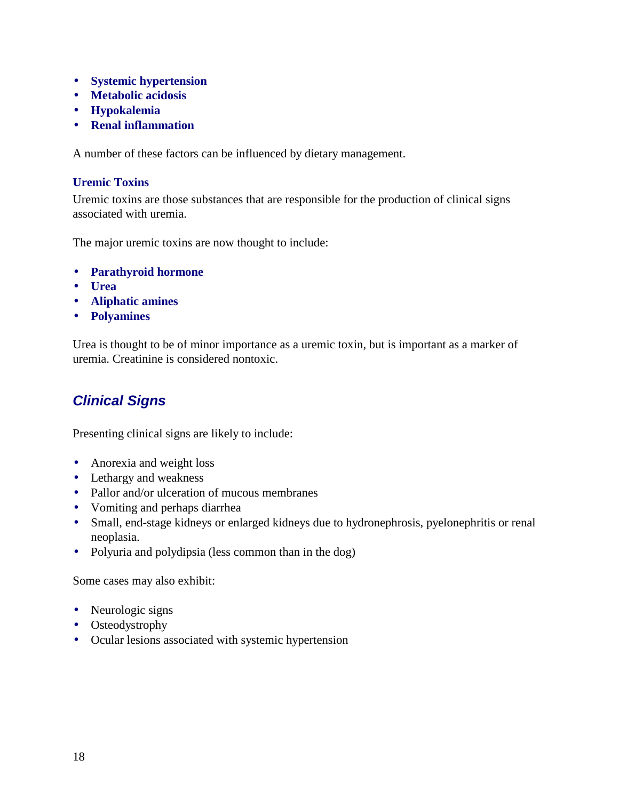- **Systemic hypertension**
- **Metabolic acidosis**
- **Hypokalemia**
- **Renal inflammation**

A number of these factors can be influenced by dietary management.

#### **Uremic Toxins**

Uremic toxins are those substances that are responsible for the production of clinical signs associated with uremia.

The major uremic toxins are now thought to include:

- **Parathyroid hormone**
- **Urea**
- **Aliphatic amines**
- **Polyamines**

Urea is thought to be of minor importance as a uremic toxin, but is important as a marker of uremia. Creatinine is considered nontoxic.

# *Clinical Signs*

Presenting clinical signs are likely to include:

- Anorexia and weight loss
- Lethargy and weakness
- Pallor and/or ulceration of mucous membranes
- Vomiting and perhaps diarrhea
- Small, end-stage kidneys or enlarged kidneys due to hydronephrosis, pyelonephritis or renal neoplasia.
- Polyuria and polydipsia (less common than in the dog)

Some cases may also exhibit:

- Neurologic signs
- Osteodystrophy
- Ocular lesions associated with systemic hypertension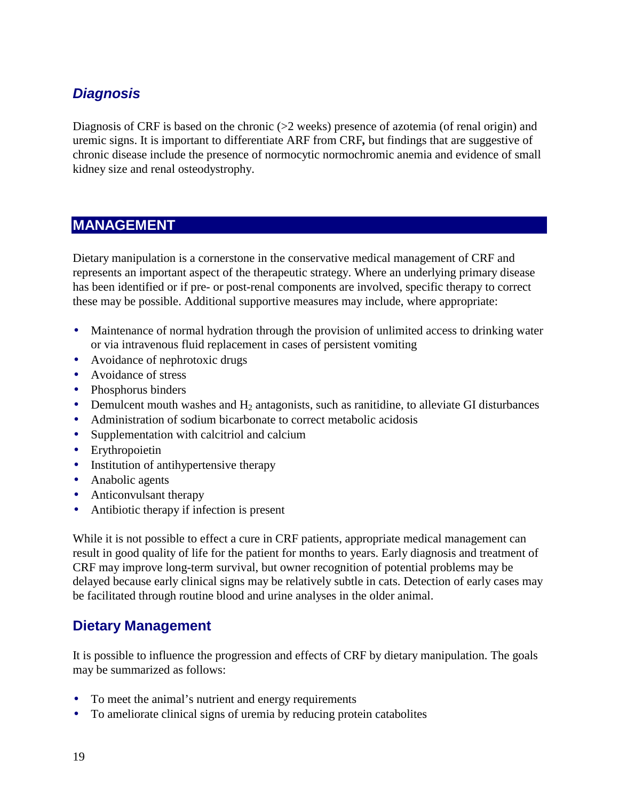# *Diagnosis*

Diagnosis of CRF is based on the chronic (>2 weeks) presence of azotemia (of renal origin) and uremic signs. It is important to differentiate ARF from CRF*,* but findings that are suggestive of chronic disease include the presence of normocytic normochromic anemia and evidence of small kidney size and renal osteodystrophy.

# **MANAGEMENT**

Dietary manipulation is a cornerstone in the conservative medical management of CRF and represents an important aspect of the therapeutic strategy. Where an underlying primary disease has been identified or if pre- or post-renal components are involved, specific therapy to correct these may be possible. Additional supportive measures may include, where appropriate:

- Maintenance of normal hydration through the provision of unlimited access to drinking water or via intravenous fluid replacement in cases of persistent vomiting
- Avoidance of nephrotoxic drugs
- Avoidance of stress
- Phosphorus binders
- Demulcent mouth washes and  $H_2$  antagonists, such as ranitidine, to alleviate GI disturbances
- Administration of sodium bicarbonate to correct metabolic acidosis
- Supplementation with calcitriol and calcium
- Erythropoietin
- Institution of antihypertensive therapy
- Anabolic agents
- Anticonvulsant therapy
- Antibiotic therapy if infection is present

While it is not possible to effect a cure in CRF patients, appropriate medical management can result in good quality of life for the patient for months to years. Early diagnosis and treatment of CRF may improve long-term survival, but owner recognition of potential problems may be delayed because early clinical signs may be relatively subtle in cats. Detection of early cases may be facilitated through routine blood and urine analyses in the older animal.

### **Dietary Management**

It is possible to influence the progression and effects of CRF by dietary manipulation. The goals may be summarized as follows:

- To meet the animal's nutrient and energy requirements
- To ameliorate clinical signs of uremia by reducing protein catabolites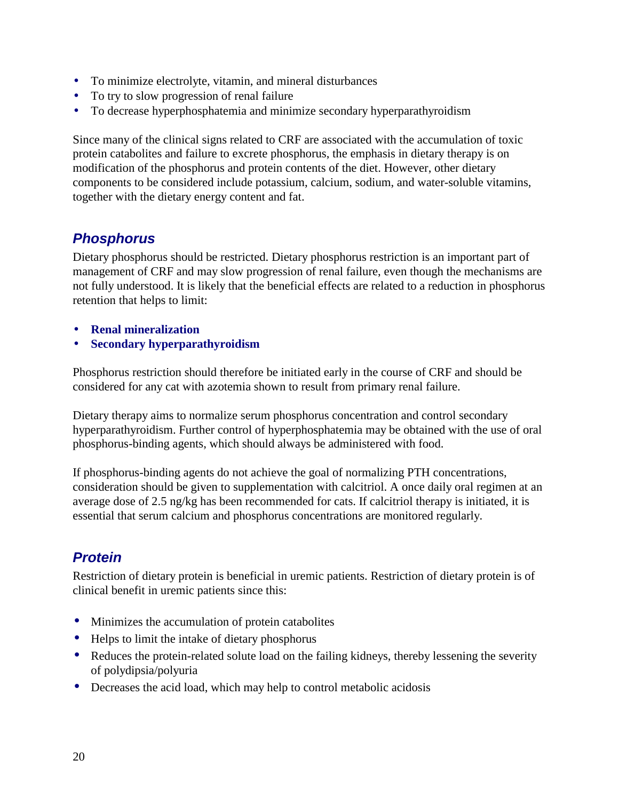- To minimize electrolyte, vitamin, and mineral disturbances
- To try to slow progression of renal failure
- To decrease hyperphosphatemia and minimize secondary hyperparathyroidism

Since many of the clinical signs related to CRF are associated with the accumulation of toxic protein catabolites and failure to excrete phosphorus, the emphasis in dietary therapy is on modification of the phosphorus and protein contents of the diet. However, other dietary components to be considered include potassium, calcium, sodium, and water-soluble vitamins, together with the dietary energy content and fat.

# *Phosphorus*

Dietary phosphorus should be restricted. Dietary phosphorus restriction is an important part of management of CRF and may slow progression of renal failure, even though the mechanisms are not fully understood. It is likely that the beneficial effects are related to a reduction in phosphorus retention that helps to limit:

- **Renal mineralization**
- **Secondary hyperparathyroidism**

Phosphorus restriction should therefore be initiated early in the course of CRF and should be considered for any cat with azotemia shown to result from primary renal failure.

Dietary therapy aims to normalize serum phosphorus concentration and control secondary hyperparathyroidism. Further control of hyperphosphatemia may be obtained with the use of oral phosphorus-binding agents, which should always be administered with food.

If phosphorus-binding agents do not achieve the goal of normalizing PTH concentrations, consideration should be given to supplementation with calcitriol. A once daily oral regimen at an average dose of 2.5 ng/kg has been recommended for cats. If calcitriol therapy is initiated, it is essential that serum calcium and phosphorus concentrations are monitored regularly.

# *Protein*

Restriction of dietary protein is beneficial in uremic patients. Restriction of dietary protein is of clinical benefit in uremic patients since this:

- Minimizes the accumulation of protein catabolites
- Helps to limit the intake of dietary phosphorus
- Reduces the protein-related solute load on the failing kidneys, thereby lessening the severity of polydipsia/polyuria
- Decreases the acid load, which may help to control metabolic acidosis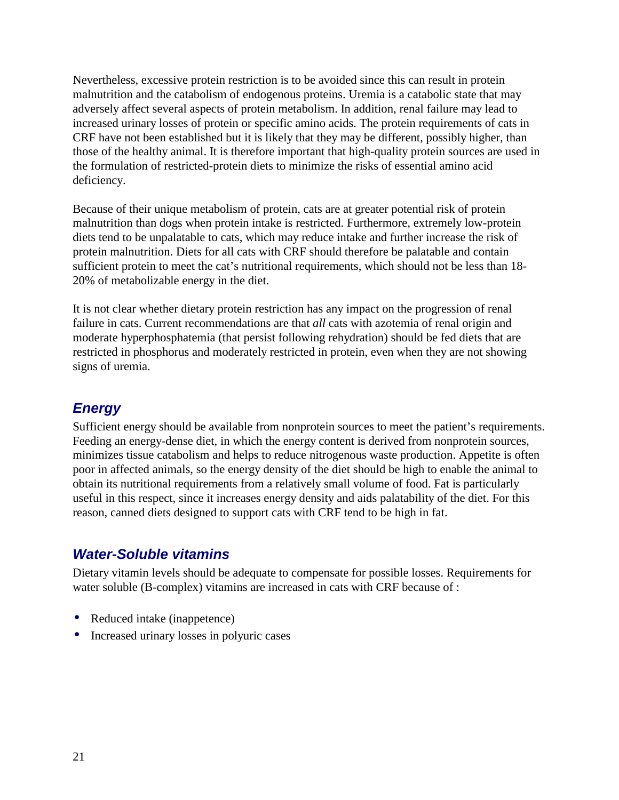Nevertheless, excessive protein restriction is to be avoided since this can result in protein malnutrition and the catabolism of endogenous proteins. Uremia is a catabolic state that may adversely affect several aspects of protein metabolism. In addition, renal failure may lead to increased urinary losses of protein or specific amino acids. The protein requirements of cats in CRF have not been established but it is likely that they may be different, possibly higher, than those of the healthy animal. It is therefore important that high-quality protein sources are used in the formulation of restricted-protein diets to minimize the risks of essential amino acid deficiency.

Because of their unique metabolism of protein, cats are at greater potential risk of protein malnutrition than dogs when protein intake is restricted. Furthermore, extremely low-protein diets tend to be unpalatable to cats, which may reduce intake and further increase the risk of protein malnutrition. Diets for all cats with CRF should therefore be palatable and contain sufficient protein to meet the cat's nutritional requirements, which should not be less than 18- 20% of metabolizable energy in the diet.

It is not clear whether dietary protein restriction has any impact on the progression of renal failure in cats. Current recommendations are that *all* cats with azotemia of renal origin and moderate hyperphosphatemia (that persist following rehydration) should be fed diets that are restricted in phosphorus and moderately restricted in protein, even when they are not showing signs of uremia.

# *Energy*

Sufficient energy should be available from nonprotein sources to meet the patient's requirements. Feeding an energy-dense diet, in which the energy content is derived from nonprotein sources, minimizes tissue catabolism and helps to reduce nitrogenous waste production. Appetite is often poor in affected animals, so the energy density of the diet should be high to enable the animal to obtain its nutritional requirements from a relatively small volume of food. Fat is particularly useful in this respect, since it increases energy density and aids palatability of the diet. For this reason, canned diets designed to support cats with CRF tend to be high in fat.

# *Water-Soluble vitamins*

Dietary vitamin levels should be adequate to compensate for possible losses. Requirements for water soluble (B-complex) vitamins are increased in cats with CRF because of :

- Reduced intake (inappetence)
- Increased urinary losses in polyuric cases